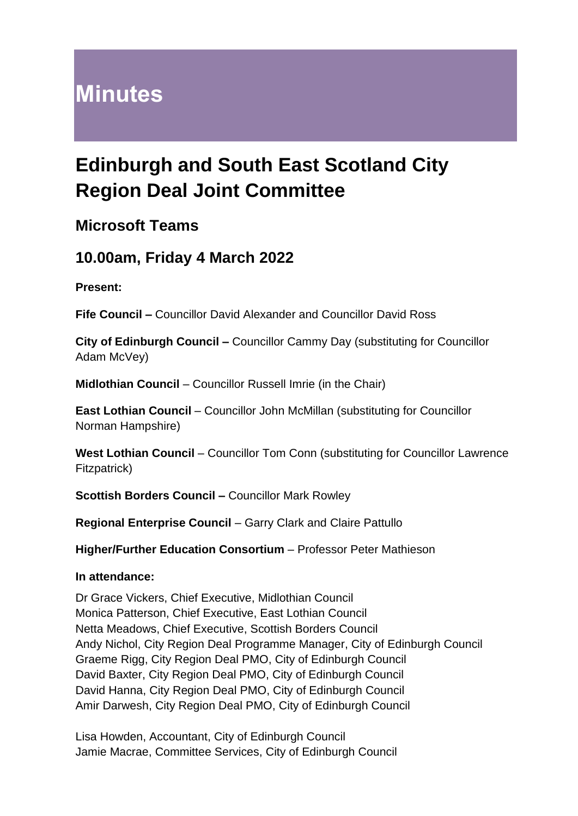# **Minutes**

# **Edinburgh and South East Scotland City Region Deal Joint Committee**

# **Microsoft Teams**

# **10.00am, Friday 4 March 2022**

**Present:**

**Fife Council –** Councillor David Alexander and Councillor David Ross

**City of Edinburgh Council –** Councillor Cammy Day (substituting for Councillor Adam McVey)

**Midlothian Council** – Councillor Russell Imrie (in the Chair)

**East Lothian Council** – Councillor John McMillan (substituting for Councillor Norman Hampshire)

**West Lothian Council** – Councillor Tom Conn (substituting for Councillor Lawrence Fitzpatrick)

**Scottish Borders Council –** Councillor Mark Rowley

**Regional Enterprise Council** – Garry Clark and Claire Pattullo

**Higher/Further Education Consortium** – Professor Peter Mathieson

### **In attendance:**

Dr Grace Vickers, Chief Executive, Midlothian Council Monica Patterson, Chief Executive, East Lothian Council Netta Meadows, Chief Executive, Scottish Borders Council Andy Nichol, City Region Deal Programme Manager, City of Edinburgh Council Graeme Rigg, City Region Deal PMO, City of Edinburgh Council David Baxter, City Region Deal PMO, City of Edinburgh Council David Hanna, City Region Deal PMO, City of Edinburgh Council Amir Darwesh, City Region Deal PMO, City of Edinburgh Council

Lisa Howden, Accountant, City of Edinburgh Council Jamie Macrae, Committee Services, City of Edinburgh Council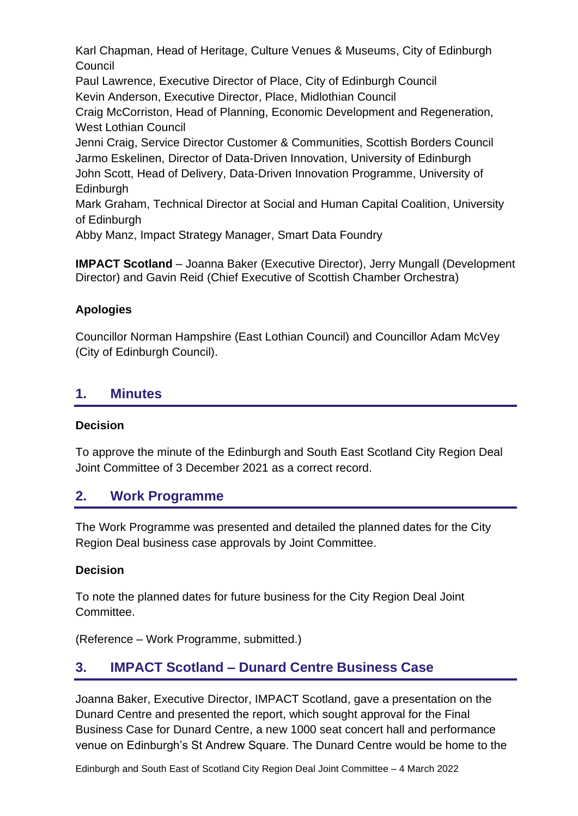Karl Chapman, Head of Heritage, Culture Venues & Museums, City of Edinburgh Council

Paul Lawrence, Executive Director of Place, City of Edinburgh Council Kevin Anderson, Executive Director, Place, Midlothian Council

Craig McCorriston, Head of Planning, Economic Development and Regeneration, West Lothian Council

Jenni Craig, Service Director Customer & Communities, Scottish Borders Council Jarmo Eskelinen, Director of Data-Driven Innovation, University of Edinburgh John Scott, Head of Delivery, Data-Driven Innovation Programme, University of **Edinburgh** 

Mark Graham, Technical Director at Social and Human Capital Coalition, University of Edinburgh

Abby Manz, Impact Strategy Manager, Smart Data Foundry

**IMPACT Scotland** – Joanna Baker (Executive Director), Jerry Mungall (Development Director) and Gavin Reid (Chief Executive of Scottish Chamber Orchestra)

### **Apologies**

Councillor Norman Hampshire (East Lothian Council) and Councillor Adam McVey (City of Edinburgh Council).

# **1. Minutes**

### **Decision**

To approve the minute of the Edinburgh and South East Scotland City Region Deal Joint Committee of 3 December 2021 as a correct record.

# **2. Work Programme**

The Work Programme was presented and detailed the planned dates for the City Region Deal business case approvals by Joint Committee.

### **Decision**

To note the planned dates for future business for the City Region Deal Joint Committee.

(Reference – Work Programme, submitted.)

# **3. IMPACT Scotland – Dunard Centre Business Case**

Joanna Baker, Executive Director, IMPACT Scotland, gave a presentation on the Dunard Centre and presented the report, which sought approval for the Final Business Case for Dunard Centre, a new 1000 seat concert hall and performance venue on Edinburgh's St Andrew Square. The Dunard Centre would be home to the

Edinburgh and South East of Scotland City Region Deal Joint Committee – 4 March 2022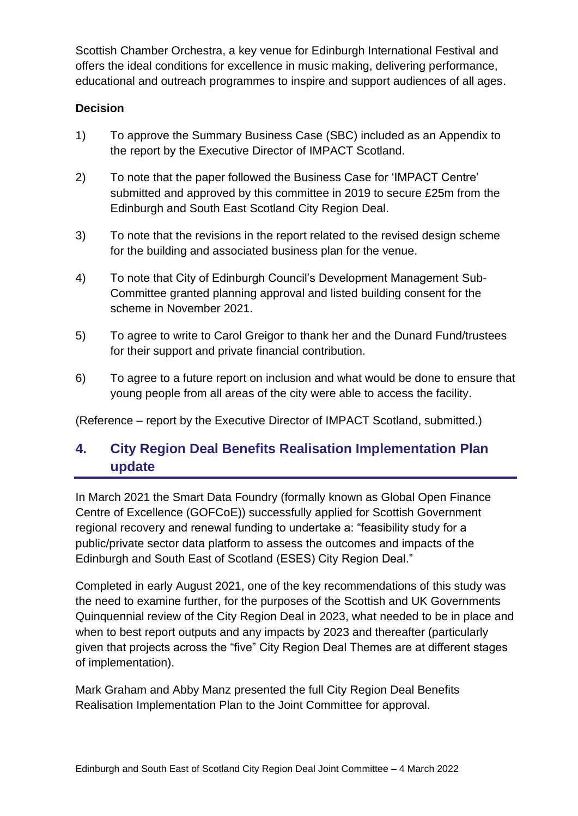Scottish Chamber Orchestra, a key venue for Edinburgh International Festival and offers the ideal conditions for excellence in music making, delivering performance, educational and outreach programmes to inspire and support audiences of all ages.

### **Decision**

- 1) To approve the Summary Business Case (SBC) included as an Appendix to the report by the Executive Director of IMPACT Scotland.
- 2) To note that the paper followed the Business Case for 'IMPACT Centre' submitted and approved by this committee in 2019 to secure £25m from the Edinburgh and South East Scotland City Region Deal.
- 3) To note that the revisions in the report related to the revised design scheme for the building and associated business plan for the venue.
- 4) To note that City of Edinburgh Council's Development Management Sub-Committee granted planning approval and listed building consent for the scheme in November 2021.
- 5) To agree to write to Carol Greigor to thank her and the Dunard Fund/trustees for their support and private financial contribution.
- 6) To agree to a future report on inclusion and what would be done to ensure that young people from all areas of the city were able to access the facility.

(Reference – report by the Executive Director of IMPACT Scotland, submitted.)

# **4. City Region Deal Benefits Realisation Implementation Plan update**

In March 2021 the Smart Data Foundry (formally known as Global Open Finance Centre of Excellence (GOFCoE)) successfully applied for Scottish Government regional recovery and renewal funding to undertake a: "feasibility study for a public/private sector data platform to assess the outcomes and impacts of the Edinburgh and South East of Scotland (ESES) City Region Deal."

Completed in early August 2021, one of the key recommendations of this study was the need to examine further, for the purposes of the Scottish and UK Governments Quinquennial review of the City Region Deal in 2023, what needed to be in place and when to best report outputs and any impacts by 2023 and thereafter (particularly given that projects across the "five" City Region Deal Themes are at different stages of implementation).

Mark Graham and Abby Manz presented the full City Region Deal Benefits Realisation Implementation Plan to the Joint Committee for approval.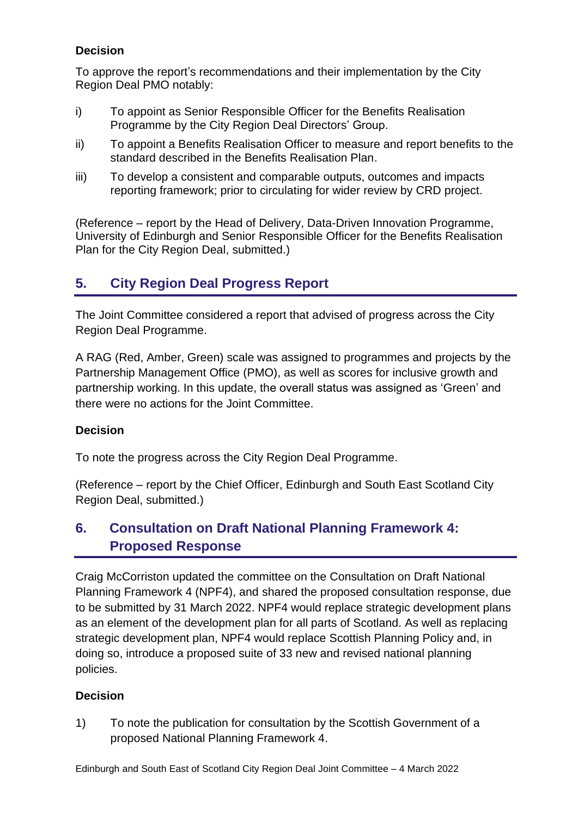### **Decision**

To approve the report's recommendations and their implementation by the City Region Deal PMO notably:

- i) To appoint as Senior Responsible Officer for the Benefits Realisation Programme by the City Region Deal Directors' Group.
- ii) To appoint a Benefits Realisation Officer to measure and report benefits to the standard described in the Benefits Realisation Plan.
- iii) To develop a consistent and comparable outputs, outcomes and impacts reporting framework; prior to circulating for wider review by CRD project.

(Reference – report by the Head of Delivery, Data-Driven Innovation Programme, University of Edinburgh and Senior Responsible Officer for the Benefits Realisation Plan for the City Region Deal, submitted.)

# **5. City Region Deal Progress Report**

The Joint Committee considered a report that advised of progress across the City Region Deal Programme.

A RAG (Red, Amber, Green) scale was assigned to programmes and projects by the Partnership Management Office (PMO), as well as scores for inclusive growth and partnership working. In this update, the overall status was assigned as 'Green' and there were no actions for the Joint Committee.

### **Decision**

To note the progress across the City Region Deal Programme.

(Reference – report by the Chief Officer, Edinburgh and South East Scotland City Region Deal, submitted.)

# **6. Consultation on Draft National Planning Framework 4: Proposed Response**

Craig McCorriston updated the committee on the Consultation on Draft National Planning Framework 4 (NPF4), and shared the proposed consultation response, due to be submitted by 31 March 2022. NPF4 would replace strategic development plans as an element of the development plan for all parts of Scotland. As well as replacing strategic development plan, NPF4 would replace Scottish Planning Policy and, in doing so, introduce a proposed suite of 33 new and revised national planning policies.

### **Decision**

1) To note the publication for consultation by the Scottish Government of a proposed National Planning Framework 4.